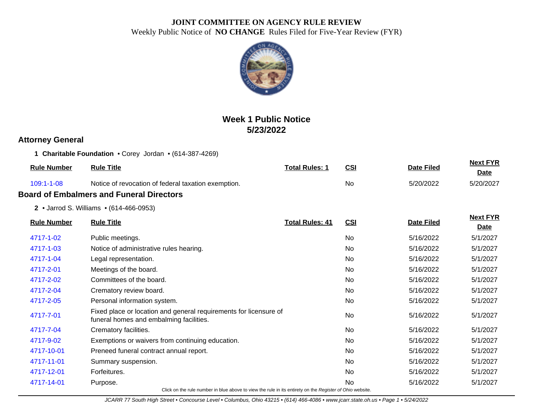

# **Week 1 Public Notice 5/23/2022**

### **Attorney General**

**1 Charitable Foundation** • Corey Jordan • (614-387-4269)

| <b>Rule Number</b> | <b>Rule Title</b>                                   | <b>Total Rules: 1</b> | <u>CSI</u> | <b>Date Filed</b> | <b>Next FYR</b><br>Date |
|--------------------|-----------------------------------------------------|-----------------------|------------|-------------------|-------------------------|
| $109:1 - 1 - 08$   | Notice of revocation of federal taxation exemption. |                       | No         | 5/20/2022         | 5/20/2027               |
|                    | <b>Board of Embalmers and Funeral Directors</b>     |                       |            |                   |                         |
|                    |                                                     |                       |            |                   |                         |

**2** • Jarrod S. Williams • (614-466-0953)

|                    | <b>Rule Title</b>                                                                                            |                        |            |                   | <b>Next FYR</b> |  |  |  |
|--------------------|--------------------------------------------------------------------------------------------------------------|------------------------|------------|-------------------|-----------------|--|--|--|
| <b>Rule Number</b> |                                                                                                              | <b>Total Rules: 41</b> | <b>CSI</b> | <b>Date Filed</b> | <b>Date</b>     |  |  |  |
| 4717-1-02          | Public meetings.                                                                                             |                        | No         | 5/16/2022         | 5/1/2027        |  |  |  |
| 4717-1-03          | Notice of administrative rules hearing.                                                                      |                        | <b>No</b>  | 5/16/2022         | 5/1/2027        |  |  |  |
| 4717-1-04          | Legal representation.                                                                                        |                        | <b>No</b>  | 5/16/2022         | 5/1/2027        |  |  |  |
| 4717-2-01          | Meetings of the board.                                                                                       |                        | <b>No</b>  | 5/16/2022         | 5/1/2027        |  |  |  |
| 4717-2-02          | Committees of the board.                                                                                     |                        | <b>No</b>  | 5/16/2022         | 5/1/2027        |  |  |  |
| 4717-2-04          | Crematory review board.                                                                                      |                        | No         | 5/16/2022         | 5/1/2027        |  |  |  |
| 4717-2-05          | Personal information system.                                                                                 |                        | <b>No</b>  | 5/16/2022         | 5/1/2027        |  |  |  |
| 4717-7-01          | Fixed place or location and general requirements for licensure of<br>funeral homes and embalming facilities. |                        | <b>No</b>  | 5/16/2022         | 5/1/2027        |  |  |  |
| 4717-7-04          | Crematory facilities.                                                                                        |                        | <b>No</b>  | 5/16/2022         | 5/1/2027        |  |  |  |
| 4717-9-02          | Exemptions or waivers from continuing education.                                                             |                        | No         | 5/16/2022         | 5/1/2027        |  |  |  |
| 4717-10-01         | Preneed funeral contract annual report.                                                                      |                        | No         | 5/16/2022         | 5/1/2027        |  |  |  |
| 4717-11-01         | Summary suspension.                                                                                          |                        | No         | 5/16/2022         | 5/1/2027        |  |  |  |
| 4717-12-01         | Forfeitures.                                                                                                 |                        | No         | 5/16/2022         | 5/1/2027        |  |  |  |
| 4717-14-01         | Purpose.                                                                                                     |                        | <b>No</b>  | 5/16/2022         | 5/1/2027        |  |  |  |
|                    | Click on the rule number in blue above to view the rule in its entirety on the Register of Ohio website.     |                        |            |                   |                 |  |  |  |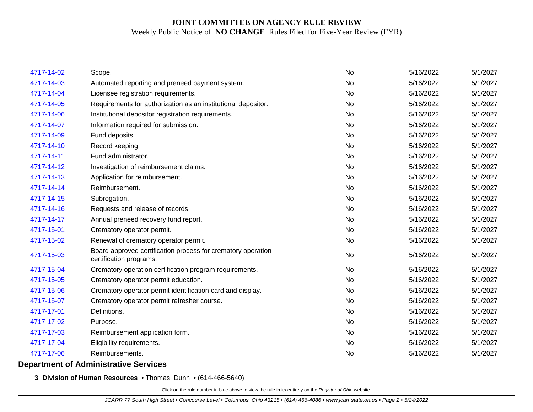| 4717-14-02 | Scope.                                                                                  | No        | 5/16/2022 | 5/1/2027 |
|------------|-----------------------------------------------------------------------------------------|-----------|-----------|----------|
| 4717-14-03 | Automated reporting and preneed payment system.                                         | No        | 5/16/2022 | 5/1/2027 |
| 4717-14-04 | Licensee registration requirements.                                                     | No        | 5/16/2022 | 5/1/2027 |
| 4717-14-05 | Requirements for authorization as an institutional depositor.                           | No        | 5/16/2022 | 5/1/2027 |
| 4717-14-06 | Institutional depositor registration requirements.                                      | <b>No</b> | 5/16/2022 | 5/1/2027 |
| 4717-14-07 | Information required for submission.                                                    | No        | 5/16/2022 | 5/1/2027 |
| 4717-14-09 | Fund deposits.                                                                          | No        | 5/16/2022 | 5/1/2027 |
| 4717-14-10 | Record keeping.                                                                         | <b>No</b> | 5/16/2022 | 5/1/2027 |
| 4717-14-11 | Fund administrator.                                                                     | No        | 5/16/2022 | 5/1/2027 |
| 4717-14-12 | Investigation of reimbursement claims.                                                  | No        | 5/16/2022 | 5/1/2027 |
| 4717-14-13 | Application for reimbursement.                                                          | No        | 5/16/2022 | 5/1/2027 |
| 4717-14-14 | Reimbursement.                                                                          | No        | 5/16/2022 | 5/1/2027 |
| 4717-14-15 | Subrogation.                                                                            | No        | 5/16/2022 | 5/1/2027 |
| 4717-14-16 | Requests and release of records.                                                        | No        | 5/16/2022 | 5/1/2027 |
| 4717-14-17 | Annual preneed recovery fund report.                                                    | <b>No</b> | 5/16/2022 | 5/1/2027 |
| 4717-15-01 | Crematory operator permit.                                                              | No        | 5/16/2022 | 5/1/2027 |
| 4717-15-02 | Renewal of crematory operator permit.                                                   | <b>No</b> | 5/16/2022 | 5/1/2027 |
| 4717-15-03 | Board approved certification process for crematory operation<br>certification programs. | No        | 5/16/2022 | 5/1/2027 |
| 4717-15-04 | Crematory operation certification program requirements.                                 | No        | 5/16/2022 | 5/1/2027 |
| 4717-15-05 | Crematory operator permit education.                                                    | No        | 5/16/2022 | 5/1/2027 |
| 4717-15-06 | Crematory operator permit identification card and display.                              | <b>No</b> | 5/16/2022 | 5/1/2027 |
| 4717-15-07 | Crematory operator permit refresher course.                                             | No        | 5/16/2022 | 5/1/2027 |
| 4717-17-01 | Definitions.                                                                            | <b>No</b> | 5/16/2022 | 5/1/2027 |
| 4717-17-02 | Purpose.                                                                                | No        | 5/16/2022 | 5/1/2027 |
| 4717-17-03 | Reimbursement application form.                                                         | No        | 5/16/2022 | 5/1/2027 |
| 4717-17-04 | Eligibility requirements.                                                               | No        | 5/16/2022 | 5/1/2027 |
| 4717-17-06 | Reimbursements.                                                                         | No        | 5/16/2022 | 5/1/2027 |
|            |                                                                                         |           |           |          |

#### **Department of Administrative Services**

**3 Division of Human Resources** • Thomas Dunn • (614-466-5640)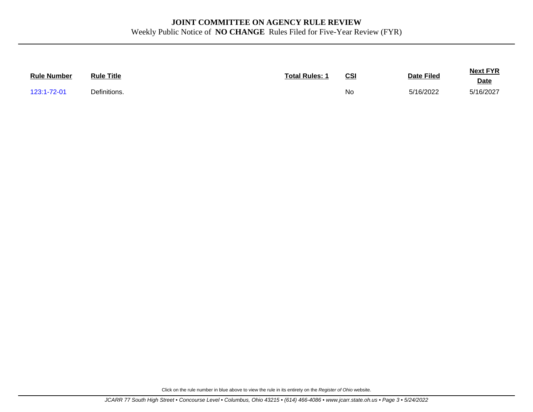| <b>Rule Number</b> | <b>Rule Title</b> | <b>Total Rules: 1</b> | <u>CS</u> | <b>Date Filed</b> | <b>Next FYR</b><br><b>Date</b> |
|--------------------|-------------------|-----------------------|-----------|-------------------|--------------------------------|
| 123:1-72-01        | Definitions.      |                       | <b>Nc</b> | 5/16/2022         | 5/16/2027                      |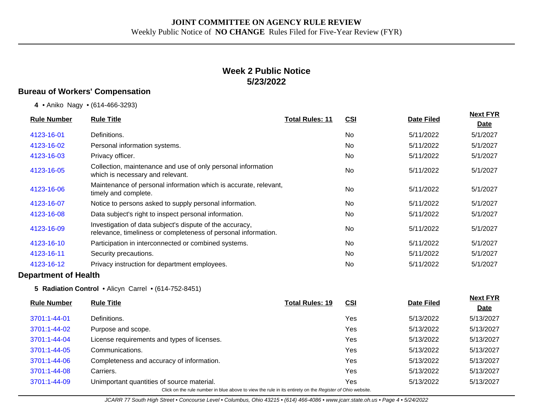## **Week 2 Public Notice 5/23/2022**

### **Bureau of Workers' Compensation**

**4** • Aniko Nagy • (614-466-3293)

| <b>Rule Number</b> |            | <b>Rule Title</b>                                                                                                          | <b>Total Rules: 11</b> |            |                   | <b>Next FYR</b> |  |
|--------------------|------------|----------------------------------------------------------------------------------------------------------------------------|------------------------|------------|-------------------|-----------------|--|
|                    |            |                                                                                                                            |                        | <u>CSI</u> | <b>Date Filed</b> | Date            |  |
|                    | 4123-16-01 | Definitions.                                                                                                               |                        | <b>No</b>  | 5/11/2022         | 5/1/2027        |  |
|                    | 4123-16-02 | Personal information systems.                                                                                              |                        | No.        | 5/11/2022         | 5/1/2027        |  |
|                    | 4123-16-03 | Privacy officer.                                                                                                           |                        | No         | 5/11/2022         | 5/1/2027        |  |
|                    | 4123-16-05 | Collection, maintenance and use of only personal information<br>which is necessary and relevant.                           |                        | <b>No</b>  | 5/11/2022         | 5/1/2027        |  |
|                    | 4123-16-06 | Maintenance of personal information which is accurate, relevant,<br>timely and complete.                                   |                        | <b>No</b>  | 5/11/2022         | 5/1/2027        |  |
|                    | 4123-16-07 | Notice to persons asked to supply personal information.                                                                    |                        | No         | 5/11/2022         | 5/1/2027        |  |
|                    | 4123-16-08 | Data subject's right to inspect personal information.                                                                      |                        | No.        | 5/11/2022         | 5/1/2027        |  |
|                    | 4123-16-09 | Investigation of data subject's dispute of the accuracy,<br>relevance, timeliness or completeness of personal information. |                        | <b>No</b>  | 5/11/2022         | 5/1/2027        |  |
|                    | 4123-16-10 | Participation in interconnected or combined systems.                                                                       |                        | No.        | 5/11/2022         | 5/1/2027        |  |
|                    | 4123-16-11 | Security precautions.                                                                                                      |                        | <b>No</b>  | 5/11/2022         | 5/1/2027        |  |
|                    | 4123-16-12 | Privacy instruction for department employees.                                                                              |                        | No.        | 5/11/2022         | 5/1/2027        |  |
|                    |            |                                                                                                                            |                        |            |                   |                 |  |

#### **Department of Health**

**5 Radiation Control** • Alicyn Carrel • (614-752-8451)

| <b>Rule Number</b>                                                                                       | <b>Rule Title</b>                           | <b>Total Rules: 19</b> | <u>CSI</u> | <b>Date Filed</b> | <b>Next FYR</b> |  |  |  |
|----------------------------------------------------------------------------------------------------------|---------------------------------------------|------------------------|------------|-------------------|-----------------|--|--|--|
|                                                                                                          |                                             |                        |            |                   | <b>Date</b>     |  |  |  |
| 3701:1-44-01                                                                                             | Definitions.                                |                        | Yes        | 5/13/2022         | 5/13/2027       |  |  |  |
| 3701:1-44-02                                                                                             | Purpose and scope.                          |                        | Yes        | 5/13/2022         | 5/13/2027       |  |  |  |
| 3701:1-44-04                                                                                             | License requirements and types of licenses. |                        | Yes        | 5/13/2022         | 5/13/2027       |  |  |  |
| 3701:1-44-05                                                                                             | Communications.                             |                        | Yes        | 5/13/2022         | 5/13/2027       |  |  |  |
| 3701:1-44-06                                                                                             | Completeness and accuracy of information.   |                        | Yes        | 5/13/2022         | 5/13/2027       |  |  |  |
| 3701:1-44-08                                                                                             | Carriers.                                   |                        | Yes        | 5/13/2022         | 5/13/2027       |  |  |  |
| 3701:1-44-09                                                                                             | Unimportant quantities of source material.  |                        | Yes        | 5/13/2022         | 5/13/2027       |  |  |  |
| Click on the rule number in blue above to view the rule in its entirety on the Register of Ohio website. |                                             |                        |            |                   |                 |  |  |  |

JCARR 77 South High Street • Concourse Level • Columbus, Ohio 43215 • (614) 466-4086 • www.jcarr.state.oh.us • Page 4 • 5/24/2022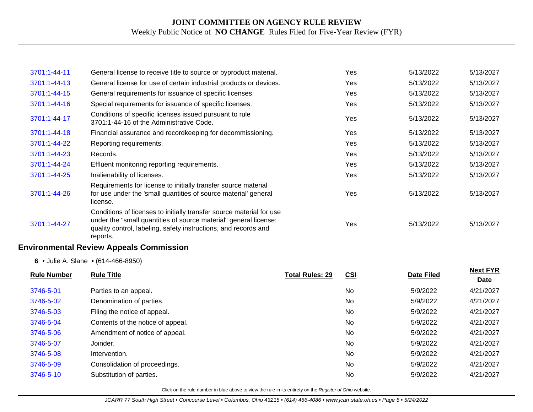| 3701:1-44-11       | General license to receive title to source or byproduct material.                                                                                                                                                       |                        | Yes        | 5/13/2022         | 5/13/2027                      |
|--------------------|-------------------------------------------------------------------------------------------------------------------------------------------------------------------------------------------------------------------------|------------------------|------------|-------------------|--------------------------------|
| 3701:1-44-13       | General license for use of certain industrial products or devices.                                                                                                                                                      |                        | Yes        | 5/13/2022         | 5/13/2027                      |
| 3701:1-44-15       | General requirements for issuance of specific licenses.                                                                                                                                                                 |                        | Yes        | 5/13/2022         | 5/13/2027                      |
| 3701:1-44-16       | Special requirements for issuance of specific licenses.                                                                                                                                                                 |                        | Yes        | 5/13/2022         | 5/13/2027                      |
| 3701:1-44-17       | Conditions of specific licenses issued pursuant to rule<br>3701:1-44-16 of the Administrative Code.                                                                                                                     |                        | Yes        | 5/13/2022         | 5/13/2027                      |
| 3701:1-44-18       | Financial assurance and recordkeeping for decommissioning.                                                                                                                                                              |                        | Yes        | 5/13/2022         | 5/13/2027                      |
| 3701:1-44-22       | Reporting requirements.                                                                                                                                                                                                 |                        | Yes        | 5/13/2022         | 5/13/2027                      |
| 3701:1-44-23       | Records.                                                                                                                                                                                                                |                        | Yes        | 5/13/2022         | 5/13/2027                      |
| 3701:1-44-24       | Effluent monitoring reporting requirements.                                                                                                                                                                             |                        | Yes        | 5/13/2022         | 5/13/2027                      |
| 3701:1-44-25       | Inalienability of licenses.                                                                                                                                                                                             |                        | Yes        | 5/13/2022         | 5/13/2027                      |
| 3701:1-44-26       | Requirements for license to initially transfer source material<br>for use under the 'small quantities of source material' general<br>license.                                                                           |                        | Yes        | 5/13/2022         | 5/13/2027                      |
| 3701:1-44-27       | Conditions of licenses to initially transfer source material for use<br>under the "small quantities of source material" general license:<br>quality control, labeling, safety instructions, and records and<br>reports. |                        | Yes        | 5/13/2022         | 5/13/2027                      |
|                    | <b>Environmental Review Appeals Commission</b>                                                                                                                                                                          |                        |            |                   |                                |
|                    | 6 • Julie A. Slane • (614-466-8950)                                                                                                                                                                                     |                        |            |                   |                                |
| <b>Rule Number</b> | <b>Rule Title</b>                                                                                                                                                                                                       | <b>Total Rules: 29</b> | <b>CSI</b> | <b>Date Filed</b> | <b>Next FYR</b><br><b>Date</b> |
| 3746-5-01          | Parties to an appeal.                                                                                                                                                                                                   |                        | No         | 5/9/2022          | 4/21/2027                      |
| 3746-5-02          | Denomination of parties.                                                                                                                                                                                                |                        | No         | 5/9/2022          | 4/21/2027                      |
| 3746-5-03          | Filing the notice of appeal.                                                                                                                                                                                            |                        | <b>No</b>  | 5/9/2022          | 4/21/2027                      |
| 3746-5-04          | Contents of the notice of appeal.                                                                                                                                                                                       |                        | <b>No</b>  | 5/9/2022          | 4/21/2027                      |

Click on the rule number in blue above to view the rule in its entirety on the Register of Ohio website.

[3746-5-06](http://www.registerofohio.state.oh.us/jsps/publicdisplayrules/processPublicDisplayRules.jsp?entered_rule_no=3746-5-06&doWhat=GETBYRULENUM&raID=0) Amendment of notice of appeal. Amendment of notice of appeal. According to the Structure of the Structure of Amendment of notice of appeal. [3746-5-07](http://www.registerofohio.state.oh.us/jsps/publicdisplayrules/processPublicDisplayRules.jsp?entered_rule_no=3746-5-07&doWhat=GETBYRULENUM&raID=0) Joinder. No 5/9/2022 4/21/2027 [3746-5-08](http://www.registerofohio.state.oh.us/jsps/publicdisplayrules/processPublicDisplayRules.jsp?entered_rule_no=3746-5-08&doWhat=GETBYRULENUM&raID=0) Intervention. No 5/9/2022 4/21/2027 [3746-5-09](http://www.registerofohio.state.oh.us/jsps/publicdisplayrules/processPublicDisplayRules.jsp?entered_rule_no=3746-5-09&doWhat=GETBYRULENUM&raID=0) Consolidation of proceedings. No 5/9/2022 4/21/2027 [3746-5-10](http://www.registerofohio.state.oh.us/jsps/publicdisplayrules/processPublicDisplayRules.jsp?entered_rule_no=3746-5-10&doWhat=GETBYRULENUM&raID=0) Substitution of parties. No 5/9/2022 4/21/2027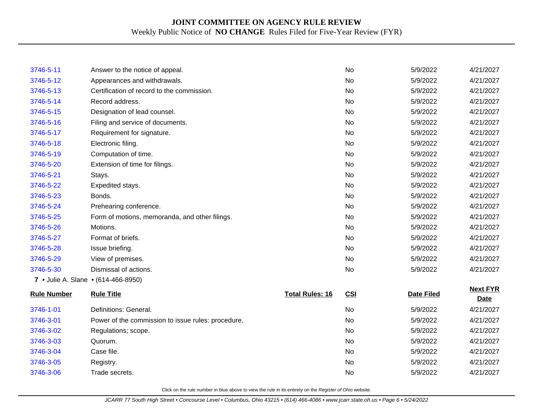| 3746-5-11          | Answer to the notice of appeal.                    |                        | <b>No</b>  | 5/9/2022          | 4/21/2027                      |
|--------------------|----------------------------------------------------|------------------------|------------|-------------------|--------------------------------|
| 3746-5-12          | Appearances and withdrawals.                       |                        | <b>No</b>  | 5/9/2022          | 4/21/2027                      |
| 3746-5-13          | Certification of record to the commission.         |                        | <b>No</b>  | 5/9/2022          | 4/21/2027                      |
| 3746-5-14          | Record address.                                    |                        | No         | 5/9/2022          | 4/21/2027                      |
| 3746-5-15          | Designation of lead counsel.                       |                        | <b>No</b>  | 5/9/2022          | 4/21/2027                      |
| 3746-5-16          | Filing and service of documents.                   |                        | <b>No</b>  | 5/9/2022          | 4/21/2027                      |
| 3746-5-17          | Requirement for signature.                         |                        | <b>No</b>  | 5/9/2022          | 4/21/2027                      |
| 3746-5-18          | Electronic filing.                                 |                        | <b>No</b>  | 5/9/2022          | 4/21/2027                      |
| 3746-5-19          | Computation of time.                               |                        | <b>No</b>  | 5/9/2022          | 4/21/2027                      |
| 3746-5-20          | Extension of time for filings.                     |                        | <b>No</b>  | 5/9/2022          | 4/21/2027                      |
| 3746-5-21          | Stays.                                             |                        | <b>No</b>  | 5/9/2022          | 4/21/2027                      |
| 3746-5-22          | Expedited stays.                                   |                        | <b>No</b>  | 5/9/2022          | 4/21/2027                      |
| 3746-5-23          | Bonds.                                             |                        | <b>No</b>  | 5/9/2022          | 4/21/2027                      |
| 3746-5-24          | Prehearing conference.                             |                        | <b>No</b>  | 5/9/2022          | 4/21/2027                      |
| 3746-5-25          | Form of motions, memoranda, and other filings.     |                        | <b>No</b>  | 5/9/2022          | 4/21/2027                      |
| 3746-5-26          | Motions.                                           |                        | <b>No</b>  | 5/9/2022          | 4/21/2027                      |
| 3746-5-27          | Format of briefs.                                  |                        | <b>No</b>  | 5/9/2022          | 4/21/2027                      |
| 3746-5-28          | Issue briefing.                                    |                        | <b>No</b>  | 5/9/2022          | 4/21/2027                      |
| 3746-5-29          | View of premises.                                  |                        | No         | 5/9/2022          | 4/21/2027                      |
| 3746-5-30          | Dismissal of actions.                              |                        | <b>No</b>  | 5/9/2022          | 4/21/2027                      |
|                    | 7 • Julie A. Slane • (614-466-8950)                |                        |            |                   |                                |
| <b>Rule Number</b> | <b>Rule Title</b>                                  | <b>Total Rules: 16</b> | <b>CSI</b> | <b>Date Filed</b> | <b>Next FYR</b><br><b>Date</b> |
| 3746-1-01          | Definitions: General.                              |                        | No         | 5/9/2022          | 4/21/2027                      |
| 3746-3-01          | Power of the commission to issue rules: procedure. |                        | <b>No</b>  | 5/9/2022          | 4/21/2027                      |
| 3746-3-02          | Regulations; scope.                                |                        | No         | 5/9/2022          | 4/21/2027                      |
| 3746-3-03          | Quorum.                                            |                        | <b>No</b>  | 5/9/2022          | 4/21/2027                      |
| 3746-3-04          | Case file.                                         |                        | <b>No</b>  | 5/9/2022          | 4/21/2027                      |
| 3746-3-05          | Registry.                                          |                        | <b>No</b>  | 5/9/2022          | 4/21/2027                      |
| 3746-3-06          | Trade secrets.                                     |                        | No         | 5/9/2022          | 4/21/2027                      |
|                    |                                                    |                        |            |                   |                                |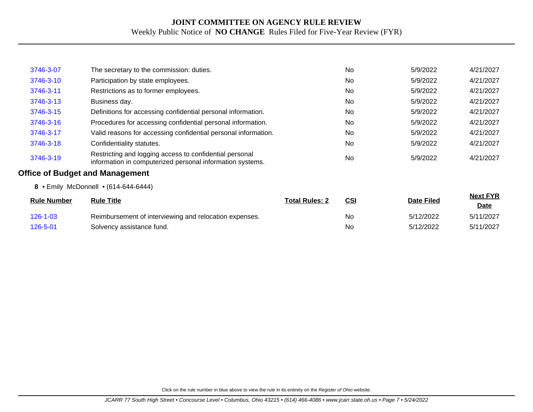| 3746-3-07          | The secretary to the commission: duties.                                                                             |                       | <b>No</b> | 5/9/2022          | 4/21/2027                      |
|--------------------|----------------------------------------------------------------------------------------------------------------------|-----------------------|-----------|-------------------|--------------------------------|
| 3746-3-10          | Participation by state employees.                                                                                    |                       | <b>No</b> | 5/9/2022          | 4/21/2027                      |
| 3746-3-11          | Restrictions as to former employees.                                                                                 |                       | <b>No</b> | 5/9/2022          | 4/21/2027                      |
| 3746-3-13          | Business day.                                                                                                        |                       | <b>No</b> | 5/9/2022          | 4/21/2027                      |
| 3746-3-15          | Definitions for accessing confidential personal information.                                                         |                       | No.       | 5/9/2022          | 4/21/2027                      |
| 3746-3-16          | Procedures for accessing confidential personal information.                                                          |                       | <b>No</b> | 5/9/2022          | 4/21/2027                      |
| 3746-3-17          | Valid reasons for accessing confidential personal information.                                                       |                       | No        | 5/9/2022          | 4/21/2027                      |
| 3746-3-18          | Confidentiality statutes.                                                                                            |                       | <b>No</b> | 5/9/2022          | 4/21/2027                      |
| 3746-3-19          | Restricting and logging access to confidential personal<br>information in computerized personal information systems. |                       | No        | 5/9/2022          | 4/21/2027                      |
|                    | <b>Office of Budget and Management</b>                                                                               |                       |           |                   |                                |
|                    | 8 • Emily McDonnell • (614-644-6444)                                                                                 |                       |           |                   |                                |
| <b>Rule Number</b> | <b>Rule Title</b>                                                                                                    | <b>Total Rules: 2</b> | CSI       | <b>Date Filed</b> | <b>Next FYR</b><br><u>Date</u> |
| $126 - 1 - 03$     | Reimbursement of interviewing and relocation expenses.                                                               |                       | No.       | 5/12/2022         | 5/11/2027                      |
| 126-5-01           | Solvency assistance fund.                                                                                            |                       | No        | 5/12/2022         | 5/11/2027                      |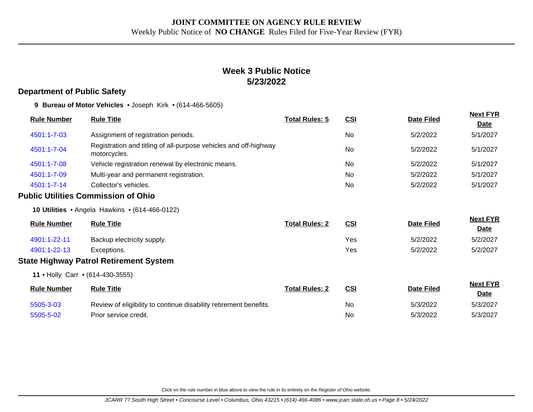## **Week 3 Public Notice 5/23/2022**

#### **Department of Public Safety**

**9 Bureau of Motor Vehicles** • Joseph Kirk • (614-466-5605)

| <b>Rule Number</b> | <b>Rule Title</b>                                                                | <b>Total Rules: 5</b> | <u>CSI</u>     | <b>Date Filed</b> | <b>Next FYR</b><br><b>Date</b> |
|--------------------|----------------------------------------------------------------------------------|-----------------------|----------------|-------------------|--------------------------------|
| 4501:1-7-03        | Assignment of registration periods.                                              |                       | No             | 5/2/2022          | 5/1/2027                       |
| 4501:1-7-04        | Registration and titling of all-purpose vehicles and off-highway<br>motorcycles. |                       | <b>No</b>      | 5/2/2022          | 5/1/2027                       |
| 4501:1-7-08        | Vehicle registration renewal by electronic means.                                |                       | N <sub>0</sub> | 5/2/2022          | 5/1/2027                       |
| 4501:1-7-09        | Multi-year and permanent registration.                                           |                       | <b>No</b>      | 5/2/2022          | 5/1/2027                       |
| 4501:1-7-14        | Collector's vehicles.                                                            |                       | N <sub>0</sub> | 5/2/2022          | 5/1/2027                       |
|                    |                                                                                  |                       |                |                   |                                |

#### **Public Utilities Commission of Ohio**

**10 Utilities** • Angela Hawkins • (614-466-0122)

| <b>Rule Number</b> | <b>Rule Title</b>          | <b>Total Rules: 2</b> | <u>CSI</u> | <b>Date Filed</b> | <b>Next FYR</b><br><u>Date</u> |
|--------------------|----------------------------|-----------------------|------------|-------------------|--------------------------------|
| 4901:1-22-11       | Backup electricity supply. |                       | Yes        | 5/2/2022          | 5/2/2027                       |
| 4901:1-22-13       | Exceptions.                |                       | Yes        | 5/2/2022          | 5/2/2027                       |

#### **State Highway Patrol Retirement System**

**11** • Holly Carr • (614-430-3555)

| <b>Rule Number</b> | <b>Rule Title</b>                                                 | <b>Total Rules: 2</b> | <u>CSI</u> | <b>Date Filed</b> | <b>Next FYR</b><br><u>Date</u> |
|--------------------|-------------------------------------------------------------------|-----------------------|------------|-------------------|--------------------------------|
| 5505-3-03          | Review of eligibility to continue disability retirement benefits. |                       | No         | 5/3/2022          | 5/3/2027                       |
| 5505-5-02          | Prior service credit.                                             |                       | No         | 5/3/2022          | 5/3/2027                       |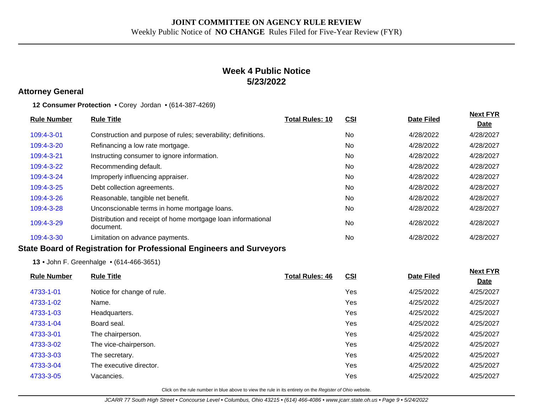## **Week 4 Public Notice 5/23/2022**

#### **Attorney General**

**12 Consumer Protection** • Corey Jordan • (614-387-4269)

| <b>Rule Number</b> | <b>Rule Title</b>                                                         | <b>Total Rules: 10</b> | <u>CSI</u> | <b>Date Filed</b> | <b>Next FYR</b><br><b>Date</b> |
|--------------------|---------------------------------------------------------------------------|------------------------|------------|-------------------|--------------------------------|
| 109:4-3-01         | Construction and purpose of rules; severability; definitions.             |                        | No         | 4/28/2022         | 4/28/2027                      |
| 109:4-3-20         | Refinancing a low rate mortgage.                                          |                        | No         | 4/28/2022         | 4/28/2027                      |
| $109:4-3-21$       | Instructing consumer to ignore information.                               |                        | No         | 4/28/2022         | 4/28/2027                      |
| 109:4-3-22         | Recommending default.                                                     |                        | No         | 4/28/2022         | 4/28/2027                      |
| 109:4-3-24         | Improperly influencing appraiser.                                         |                        | No         | 4/28/2022         | 4/28/2027                      |
| 109:4-3-25         | Debt collection agreements.                                               |                        | No         | 4/28/2022         | 4/28/2027                      |
| 109:4-3-26         | Reasonable, tangible net benefit.                                         |                        | No         | 4/28/2022         | 4/28/2027                      |
| 109:4-3-28         | Unconscionable terms in home mortgage loans.                              |                        | No         | 4/28/2022         | 4/28/2027                      |
| 109:4-3-29         | Distribution and receipt of home mortgage loan informational<br>document. |                        | <b>No</b>  | 4/28/2022         | 4/28/2027                      |
| 109:4-3-30         | Limitation on advance payments.                                           |                        | <b>No</b>  | 4/28/2022         | 4/28/2027                      |

#### **State Board of Registration for Professional Engineers and Surveyors**

**13** • John F. Greenhalge • (614-466-3651)

| <b>Rule Number</b> | <b>Rule Title</b>          | <b>Total Rules: 46</b> | CSI | <b>Date Filed</b> | <b>Next FYR</b> |
|--------------------|----------------------------|------------------------|-----|-------------------|-----------------|
|                    |                            |                        |     |                   | <b>Date</b>     |
| 4733-1-01          | Notice for change of rule. |                        | Yes | 4/25/2022         | 4/25/2027       |
| 4733-1-02          | Name.                      |                        | Yes | 4/25/2022         | 4/25/2027       |
| 4733-1-03          | Headquarters.              |                        | Yes | 4/25/2022         | 4/25/2027       |
| 4733-1-04          | Board seal.                |                        | Yes | 4/25/2022         | 4/25/2027       |
| 4733-3-01          | The chairperson.           |                        | Yes | 4/25/2022         | 4/25/2027       |
| 4733-3-02          | The vice-chairperson.      |                        | Yes | 4/25/2022         | 4/25/2027       |
| 4733-3-03          | The secretary.             |                        | Yes | 4/25/2022         | 4/25/2027       |
| 4733-3-04          | The executive director.    |                        | Yes | 4/25/2022         | 4/25/2027       |
| 4733-3-05          | Vacancies.                 |                        | Yes | 4/25/2022         | 4/25/2027       |
|                    |                            |                        |     |                   |                 |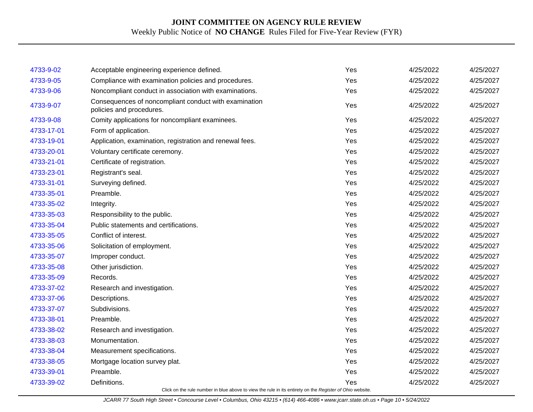| 4733-9-02  |                                                                                                          | Yes | 4/25/2022 | 4/25/2027 |
|------------|----------------------------------------------------------------------------------------------------------|-----|-----------|-----------|
|            | Acceptable engineering experience defined.                                                               |     |           |           |
| 4733-9-05  | Compliance with examination policies and procedures.                                                     | Yes | 4/25/2022 | 4/25/2027 |
| 4733-9-06  | Noncompliant conduct in association with examinations.                                                   | Yes | 4/25/2022 | 4/25/2027 |
| 4733-9-07  | Consequences of noncompliant conduct with examination<br>policies and procedures.                        | Yes | 4/25/2022 | 4/25/2027 |
| 4733-9-08  | Comity applications for noncompliant examinees.                                                          | Yes | 4/25/2022 | 4/25/2027 |
| 4733-17-01 | Form of application.                                                                                     | Yes | 4/25/2022 | 4/25/2027 |
| 4733-19-01 | Application, examination, registration and renewal fees.                                                 | Yes | 4/25/2022 | 4/25/2027 |
| 4733-20-01 | Voluntary certificate ceremony.                                                                          | Yes | 4/25/2022 | 4/25/2027 |
| 4733-21-01 | Certificate of registration.                                                                             | Yes | 4/25/2022 | 4/25/2027 |
| 4733-23-01 | Registrant's seal.                                                                                       | Yes | 4/25/2022 | 4/25/2027 |
| 4733-31-01 | Surveying defined.                                                                                       | Yes | 4/25/2022 | 4/25/2027 |
| 4733-35-01 | Preamble.                                                                                                | Yes | 4/25/2022 | 4/25/2027 |
| 4733-35-02 | Integrity.                                                                                               | Yes | 4/25/2022 | 4/25/2027 |
| 4733-35-03 | Responsibility to the public.                                                                            | Yes | 4/25/2022 | 4/25/2027 |
| 4733-35-04 | Public statements and certifications.                                                                    | Yes | 4/25/2022 | 4/25/2027 |
| 4733-35-05 | Conflict of interest.                                                                                    | Yes | 4/25/2022 | 4/25/2027 |
| 4733-35-06 | Solicitation of employment.                                                                              | Yes | 4/25/2022 | 4/25/2027 |
| 4733-35-07 | Improper conduct.                                                                                        | Yes | 4/25/2022 | 4/25/2027 |
| 4733-35-08 | Other jurisdiction.                                                                                      | Yes | 4/25/2022 | 4/25/2027 |
| 4733-35-09 | Records.                                                                                                 | Yes | 4/25/2022 | 4/25/2027 |
| 4733-37-02 | Research and investigation.                                                                              | Yes | 4/25/2022 | 4/25/2027 |
| 4733-37-06 | Descriptions.                                                                                            | Yes | 4/25/2022 | 4/25/2027 |
| 4733-37-07 | Subdivisions.                                                                                            | Yes | 4/25/2022 | 4/25/2027 |
| 4733-38-01 | Preamble.                                                                                                | Yes | 4/25/2022 | 4/25/2027 |
| 4733-38-02 | Research and investigation.                                                                              | Yes | 4/25/2022 | 4/25/2027 |
| 4733-38-03 | Monumentation.                                                                                           | Yes | 4/25/2022 | 4/25/2027 |
| 4733-38-04 | Measurement specifications.                                                                              | Yes | 4/25/2022 | 4/25/2027 |
| 4733-38-05 | Mortgage location survey plat.                                                                           | Yes | 4/25/2022 | 4/25/2027 |
| 4733-39-01 | Preamble.                                                                                                | Yes | 4/25/2022 | 4/25/2027 |
| 4733-39-02 | Definitions.                                                                                             | Yes | 4/25/2022 | 4/25/2027 |
|            | Click on the rule number in blue above to view the rule in its entirety on the Register of Ohio website. |     |           |           |

JCARR 77 South High Street • Concourse Level • Columbus, Ohio 43215 • (614) 466-4086 • www.jcarr.state.oh.us • Page 10 • 5/24/2022